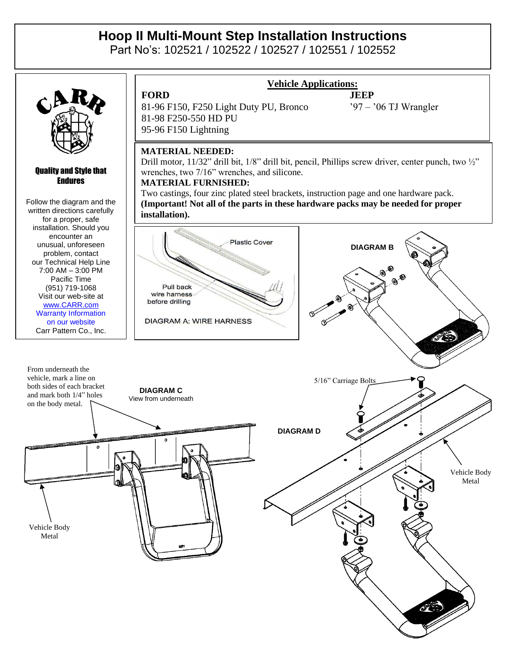# **Hoop II Multi-Mount Step Installation Instructions**

Part No's: 102521 / 102522 / 102527 / 102551 / 102552



#### Quality and Style that Endures

Follow the diagram and the written directions carefully for a proper, safe installation. Should you encounter an unusual, unforeseen problem, contact our Technical Help Line 7:00 AM – 3:00 PM Pacific Time (951) 719-1068 Visit our web-site at [www.CARR.com](http://www.carr.com/) Warranty Information on our website Carr Pattern Co., Inc.

**FORD JEEP** 81-96 F150, F250 Light Duty PU, Bronco '97 – '06 TJ Wrangler 81-98 F250-550 HD PU 95-96 F150 Lightning

## **Vehicle Applications:**

### **MATERIAL NEEDED:**

Drill motor, 11/32" drill bit, 1/8" drill bit, pencil, Phillips screw driver, center punch, two 1/2" wrenches, two 7/16" wrenches, and silicone.

#### **MATERIAL FURNISHED:**

Two castings, four zinc plated steel brackets, instruction page and one hardware pack. **(Important! Not all of the parts in these hardware packs may be needed for proper installation).**